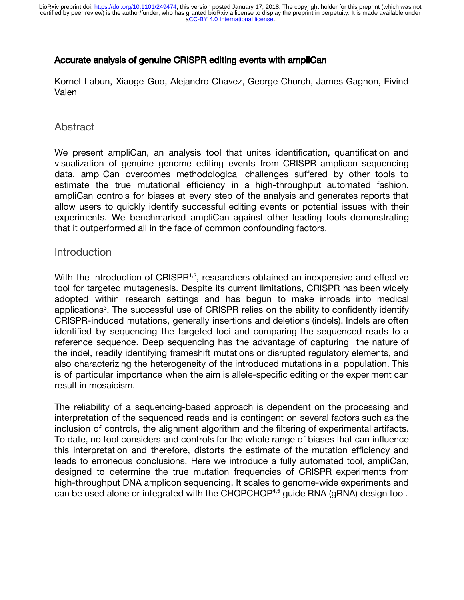## Accurate analysis of genuine CRISPR editing events with ampliCan

Kornel Labun, Xiaoge Guo, Alejandro Chavez, George Church, James Gagnon, Eivind Valen

## Abstract

We present ampliCan, an analysis tool that unites identification, quantification and visualization of genuine genome editing events from CRISPR amplicon sequencing data. ampliCan overcomes methodological challenges suffered by other tools to estimate the true mutational efficiency in a high-throughput automated fashion. ampliCan controls for biases at every step of the analysis and generates reports that allow users to quickly identify successful editing events or potential issues with their experiments. We benchmarked ampliCan against other leading tools demonstrating that it outperformed all in the face of common confounding factors.

### Introduction

With the introduction of CRISPR $1,2$  $1,2$  $1,2$ , researchers obtained an inexpensive and effective tool for targeted mutagenesis. Despite its current limitations, CRISPR has been widely adopted within research settings and has begun to make inroads into medical applications<sup>[3](https://paperpile.com/c/2LBjx5/ElpO)</sup>. The successful use of CRISPR relies on the ability to confidently identify CRISPR-induced mutations, generally insertions and deletions (indels). Indels are often identified by sequencing the targeted loci and comparing the sequenced reads to a reference sequence. Deep sequencing has the advantage of capturing the nature of the indel, readily identifying frameshift mutations or disrupted regulatory elements, and also characterizing the heterogeneity of the introduced mutations in a population. This is of particular importance when the aim is allele-specific editing or the experiment can result in mosaicism.

The reliability of a sequencing-based approach is dependent on the processing and interpretation of the sequenced reads and is contingent on several factors such as the inclusion of controls, the alignment algorithm and the filtering of experimental artifacts. To date, no tool considers and controls for the whole range of biases that can influence this interpretation and therefore, distorts the estimate of the mutation efficiency and leads to erroneous conclusions. Here we introduce a fully automated tool, ampliCan, designed to determine the true mutation frequencies of CRISPR experiments from high-throughput DNA amplicon sequencing. It scales to genome-wide experiments and can be used alone or integrated with the CHOPCHOP<sup>[4,5](https://paperpile.com/c/2LBjx5/j3Lb+X5K6)</sup> guide RNA (gRNA) design tool.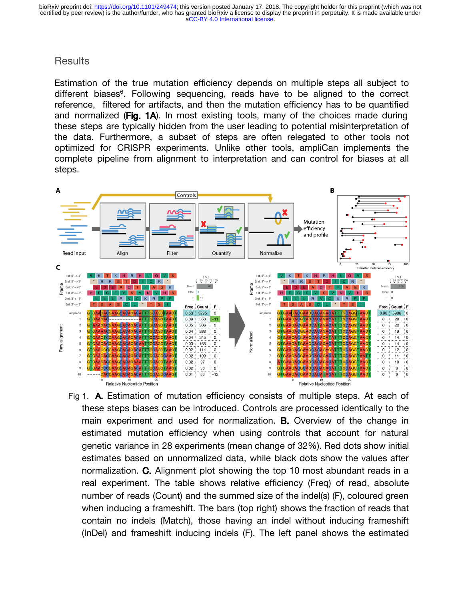## **Results**

Estimation of the true mutation efficiency depends on multiple steps all subject to different biases<sup>6</sup>. Following sequencing, reads have to be aligned to the correct reference, filtered for artifacts, and then the mutation efficiency has to be quantified and normalized (Fig.  $1A$ ). In most existing tools, many of the choices made during these steps are typically hidden from the user leading to potential misinterpretation of the data. Furthermore, a subset of steps are often relegated to other tools not optimized for CRISPR experiments. Unlike other tools, ampliCan implements the complete pipeline from alignment to interpretation and can control for biases at all steps.



Fig 1. A. Estimation of mutation efficiency consists of multiple steps. At each of these steps biases can be introduced. Controls are processed identically to the main experiment and used for normalization. **B.** Overview of the change in estimated mutation efficiency when using controls that account for natural genetic variance in 28 experiments (mean change of 32%). Red dots show initial estimates based on unnormalized data, while black dots show the values after normalization. C. Alignment plot showing the top 10 most abundant reads in a real experiment. The table shows relative efficiency (Freq) of read, absolute number of reads (Count) and the summed size of the indel(s) (F), coloured green when inducing a frameshift. The bars (top right) shows the fraction of reads that contain no indels (Match), those having an indel without inducing frameshift (InDel) and frameshift inducing indels (F). The left panel shows the estimated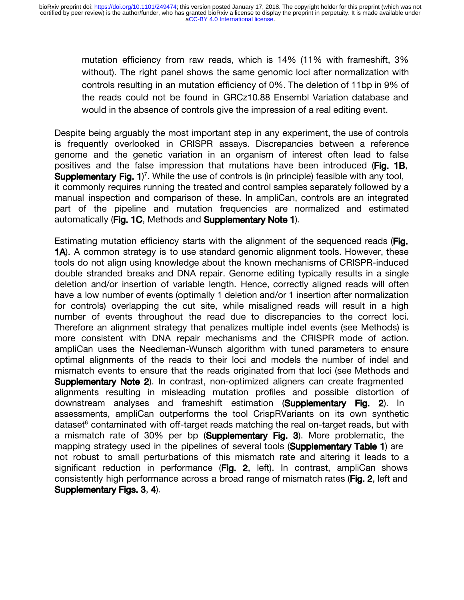mutation efficiency from raw reads, which is 14% (11% with frameshift, 3% without). The right panel shows the same genomic loci after normalization with controls resulting in an mutation efficiency of 0%. The deletion of 11bp in 9% of the reads could not be found in GRCz10.88 Ensembl Variation database and would in the absence of controls give the impression of a real editing event.

Despite being arguably the most important step in any experiment, the use of controls is frequently overlooked in CRISPR assays. Discrepancies between a reference genome and the genetic variation in an organism of interest often lead to false positives and the false impression that mutations have been introduced ( $Fig. 1B$ , Supplementary Fig. 1)<sup>[7](https://paperpile.com/c/2LBjx5/t2yM)</sup>. While the use of controls is (in principle) feasible with any tool, it commonly requires running the treated and control samples separately followed by a manual inspection and comparison of these. In ampliCan, controls are an integrated part of the pipeline and mutation frequencies are normalized and estimated automatically (Fig. 1C, Methods and Supplementary Note 1).

Estimating mutation efficiency starts with the alignment of the sequenced reads (Fig. **1A**). A common strategy is to use standard genomic alignment tools. However, these tools do not align using knowledge about the known mechanisms of CRISPR-induced double stranded breaks and DNA repair. Genome editing typically results in a single deletion and/or insertion of variable length. Hence, correctly aligned reads will often have a low number of events (optimally 1 deletion and/or 1 insertion after normalization for controls) overlapping the cut site, while misaligned reads will result in a high number of events throughout the read due to discrepancies to the correct loci. Therefore an alignment strategy that penalizes multiple indel events (see Methods) is more consistent with DNA repair mechanisms and the CRISPR mode of action. ampliCan uses the Needleman-Wunsch algorithm with tuned parameters to ensure optimal alignments of the reads to their loci and models the number of indel and mismatch events to ensure that the reads originated from that loci (see Methods and **Supplementary Note 2**). In contrast, non-optimized aligners can create fragmented alignments resulting in misleading mutation profiles and possible distortion of downstream analyses and frameshift estimation (Supplementary Fig. 2). In assessments, ampliCan outperforms the tool CrispRVariants on its own synthetic dataset $6$  contaminated with off-target reads matching the real on-target reads, but with a mismatch rate of 30% per bp (Supplementary Fig. 3). More problematic, the mapping strategy used in the pipelines of several tools (**Supplementary Table 1**) are not robust to small perturbations of this mismatch rate and altering it leads to a significant reduction in performance ( $Fig. 2$ , left). In contrast, ampliCan shows consistently high performance across a broad range of mismatch rates (Fig. 2, left and Supplementary Figs. 3, 4).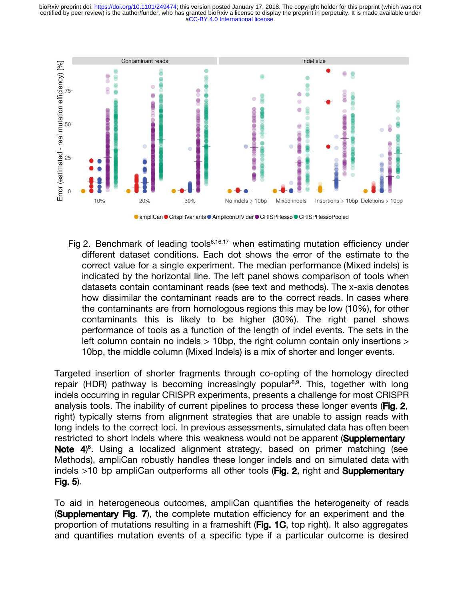[aCC-BY 4.0 International license.](http://creativecommons.org/licenses/by/4.0/) certified by peer review) is the author/funder, who has granted bioRxiv a license to display the preprint in perpetuity. It is made available under bioRxiv preprint doi: [https://doi.org/10.1101/249474;](https://doi.org/10.1101/249474) this version posted January 17, 2018. The copyright holder for this preprint (which was not



● ampliCan ● CrispRVariants ● AmpliconDIVider ● CRISPResso ● CRISPRessoPooled

Fig 2. Benchmark of leading tools<sup>6,16,17</sup> when estimating mutation efficiency under different dataset conditions. Each dot shows the error of the estimate to the correct value for a single experiment. The median performance (Mixed indels) is indicated by the horizontal line. The left panel shows comparison of tools when datasets contain contaminant reads (see text and methods). The x-axis denotes how dissimilar the contaminant reads are to the correct reads. In cases where the contaminants are from homologous regions this may be low (10%), for other contaminants this is likely to be higher (30%). The right panel shows performance of tools as a function of the length of indel events. The sets in the left column contain no indels > 10bp, the right column contain only insertions > 10bp, the middle column (Mixed Indels) is a mix of shorter and longer events.

Targeted insertion of shorter fragments through co-opting of the homology directed repair (HDR) pathway is becoming increasingly popular<sup>8,9</sup>. This, together with long indels occurring in regular CRISPR experiments, presents a challenge for most CRISPR analysis tools. The inability of current pipelines to process these longer events (Fig. 2, right) typically stems from alignment strategies that are unable to assign reads with long indels to the correct loci. In previous assessments, simulated data has often been restricted to short indels where this weakness would not be apparent (Supplementary Note 4)<sup>[6](https://paperpile.com/c/2LBjx5/9P7Y)</sup>. Using a localized alignment strategy, based on primer matching (see Methods), ampliCan robustly handles these longer indels and on simulated data with indels  $>10$  bp ampliCan outperforms all other tools (Fig. 2, right and Supplementary Fig. 5).

To aid in heterogeneous outcomes, ampliCan quantifies the heterogeneity of reads (Supplementary Fig. 7), the complete mutation efficiency for an experiment and the proportion of mutations resulting in a frameshift ( $Fig. 1C$ , top right). It also aggregates and quantifies mutation events of a specific type if a particular outcome is desired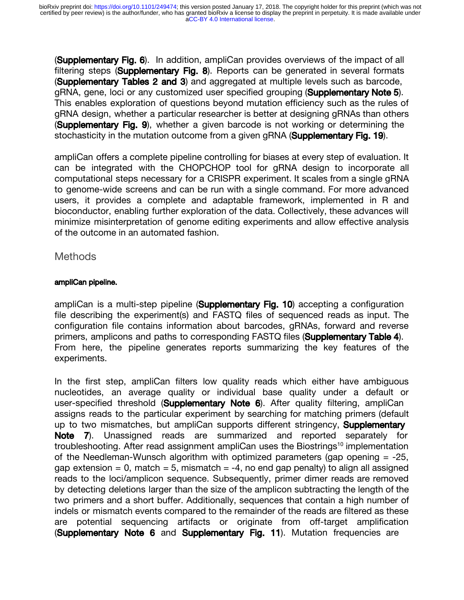(Supplementary Fig. 6). In addition, ampliCan provides overviews of the impact of all filtering steps (Supplementary Fig. 8). Reports can be generated in several formats (Supplementary Tables 2 and 3) and aggregated at multiple levels such as barcode, gRNA, gene, loci or any customized user specified grouping (Supplementary Note 5). This enables exploration of questions beyond mutation efficiency such as the rules of gRNA design, whether a particular researcher is better at designing gRNAs than others (Supplementary Fig. 9), whether a given barcode is not working or determining the stochasticity in the mutation outcome from a given gRNA (**Supplementary Fig. 19**).

ampliCan offers a complete pipeline controlling for biases at every step of evaluation. It can be integrated with the CHOPCHOP tool for gRNA design to incorporate all computational steps necessary for a CRISPR experiment. It scales from a single gRNA to genome-wide screens and can be run with a single command. For more advanced users, it provides a complete and adaptable framework, implemented in R and bioconductor, enabling further exploration of the data. Collectively, these advances will minimize misinterpretation of genome editing experiments and allow effective analysis of the outcome in an automated fashion.

### **Methods**

#### ampliCan pipeline.

ampliCan is a multi-step pipeline (Supplementary Fig. 10) accepting a configuration file describing the experiment(s) and FASTQ files of sequenced reads as input. The configuration file contains information about barcodes, gRNAs, forward and reverse primers, amplicons and paths to corresponding FASTQ files (Supplementary Table 4). From here, the pipeline generates reports summarizing the key features of the experiments.

In the first step, ampliCan filters low quality reads which either have ambiguous nucleotides, an average quality or individual base quality under a default or user-specified threshold (Supplementary Note 6). After quality filtering, ampliCan assigns reads to the particular experiment by searching for matching primers (default up to two mismatches, but ampliCan supports different stringency, **Supplementary** Note 7). Unassigned reads are summarized and reported separately for troubleshooting. After read assignment ampliCan uses the Biostrings<sup>[10](https://paperpile.com/c/2LBjx5/c8Sy)</sup> implementation of the Needleman-Wunsch algorithm with optimized parameters (gap opening  $= -25$ , gap extension = 0, match = 5, mismatch =  $-4$ , no end gap penalty) to align all assigned reads to the loci/amplicon sequence. Subsequently, primer dimer reads are removed by detecting deletions larger than the size of the amplicon subtracting the length of the two primers and a short buffer. Additionally, sequences that contain a high number of indels or mismatch events compared to the remainder of the reads are filtered as these are potential sequencing artifacts or originate from off-target amplification (Supplementary Note 6 and Supplementary Fig. 11). Mutation frequencies are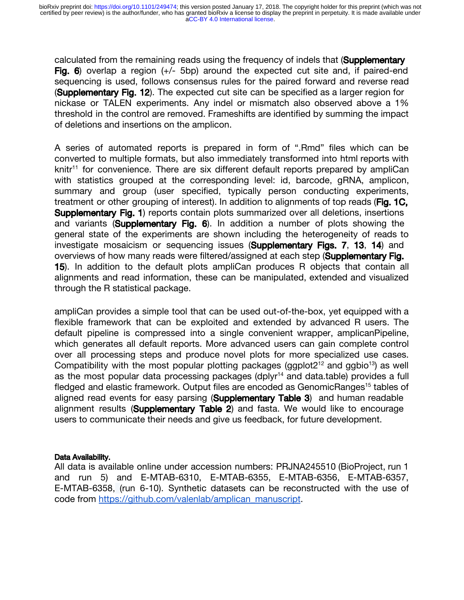calculated from the remaining reads using the frequency of indels that (**Supplementary** Fig. 6) overlap a region  $(+/- 5bp)$  around the expected cut site and, if paired-end sequencing is used, follows consensus rules for the paired forward and reverse read (Supplementary Fig. 12). The expected cut site can be specified as a larger region for nickase or TALEN experiments. Any indel or mismatch also observed above a 1% threshold in the control are removed. Frameshifts are identified by summing the impact of deletions and insertions on the amplicon.

A series of automated reports is prepared in form of ".Rmd" files which can be converted to multiple formats, but also immediately transformed into html reports with knitr<sup>[11](https://paperpile.com/c/2LBjx5/akl0)</sup> for convenience. There are six different default reports prepared by ampliCan with statistics grouped at the corresponding level: id, barcode, gRNA, amplicon, summary and group (user specified, typically person conducting experiments, treatment or other grouping of interest). In addition to alignments of top reads (Fig. 1C, **Supplementary Fig. 1**) reports contain plots summarized over all deletions, insertions and variants (Supplementary Fig. 6). In addition a number of plots showing the general state of the experiments are shown including the heterogeneity of reads to investigate mosaicism or sequencing issues (**Supplementary Figs. 7, 13, 14**) and overviews of how many reads were filtered/assigned at each step (Supplementary Fig. <sup>15</sup>). In addition to the default plots ampliCan produces R objects that contain all alignments and read information, these can be manipulated, extended and visualized through the R statistical package.

ampliCan provides a simple tool that can be used out-of-the-box, yet equipped with a flexible framework that can be exploited and extended by advanced R users. The default pipeline is compressed into a single convenient wrapper, amplicanPipeline, which generates all default reports. More advanced users can gain complete control over all processing steps and produce novel plots for more specialized use cases. Compatibility with the most popular plotting packages (ggplot $2^{12}$  and ggbio<sup>13</sup>) as well as the most popular data processing packages (dplyr<sup>14</sup> and data.table) provides a full fledged and elastic framework. Output files are encoded as GenomicRanges<sup>[15](https://paperpile.com/c/2LBjx5/7Ju5)</sup> tables of aligned read events for easy parsing (Supplementary Table 3) and human readable alignment results (Supplementary Table 2) and fasta. We would like to encourage users to communicate their needs and give us feedback, for future development.

#### Data Availability.

All data is available online under accession numbers: PRJNA245510 (BioProject, run 1 and run 5) and E-MTAB-6310, E-MTAB-6355, E-MTAB-6356, E-MTAB-6357, E-MTAB-6358, (run 6-10). Synthetic datasets can be reconstructed with the use of code from [https://github.com/valenlab/amplican\\_manuscript.](https://github.com/valenlab/amplican_manuscript)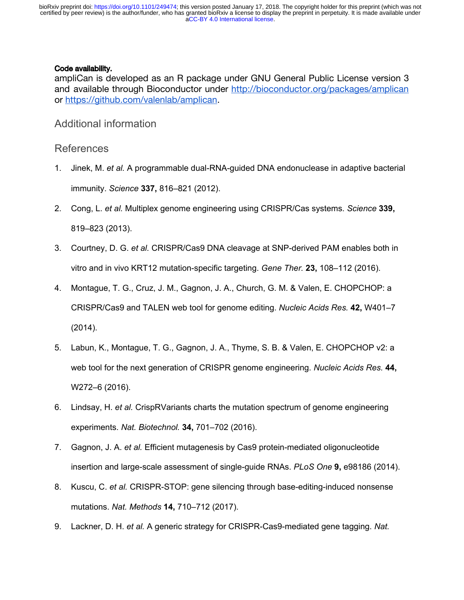#### Code availability.

ampliCan is developed as an R package under GNU General Public License version 3 and available through Bioconductor under <http://bioconductor.org/packages/amplican> or<https://github.com/valenlab/amplican>.

Additional information

### References

- 1. [Jinek, M.](http://paperpile.com/b/2LBjx5/eAFr) *[et al.](http://paperpile.com/b/2LBjx5/eAFr)* [A programmable dual-RNA-guided DNA endonuclease in adaptive bacterial](http://paperpile.com/b/2LBjx5/eAFr)  [immunity.](http://paperpile.com/b/2LBjx5/eAFr) *[Science](http://paperpile.com/b/2LBjx5/eAFr)* **[337,](http://paperpile.com/b/2LBjx5/eAFr)** [816–821 \(2012\).](http://paperpile.com/b/2LBjx5/eAFr)
- 2. [Cong, L.](http://paperpile.com/b/2LBjx5/tXKY) *[et al.](http://paperpile.com/b/2LBjx5/tXKY)* [Multiplex genome engineering using CRISPR/Cas systems.](http://paperpile.com/b/2LBjx5/tXKY) *[Science](http://paperpile.com/b/2LBjx5/tXKY)* **[339,](http://paperpile.com/b/2LBjx5/tXKY)** [819–823 \(2013\).](http://paperpile.com/b/2LBjx5/tXKY)
- 3. [Courtney, D. G.](http://paperpile.com/b/2LBjx5/ElpO) *[et al.](http://paperpile.com/b/2LBjx5/ElpO)* [CRISPR/Cas9 DNA cleavage at SNP-derived PAM enables both in](http://paperpile.com/b/2LBjx5/ElpO)  [vitro and in vivo KRT12 mutation-specific targeting.](http://paperpile.com/b/2LBjx5/ElpO) *[Gene Ther.](http://paperpile.com/b/2LBjx5/ElpO)* **[23,](http://paperpile.com/b/2LBjx5/ElpO)** [108–112 \(2016\).](http://paperpile.com/b/2LBjx5/ElpO)
- 4. [Montague, T. G., Cruz, J. M., Gagnon, J. A., Church, G. M. & Valen, E. CHOPCHOP: a](http://paperpile.com/b/2LBjx5/j3Lb)  [CRISPR/Cas9 and TALEN web tool for genome editing.](http://paperpile.com/b/2LBjx5/j3Lb) *[Nucleic Acids Res.](http://paperpile.com/b/2LBjx5/j3Lb)* **[42,](http://paperpile.com/b/2LBjx5/j3Lb)** [W401–7](http://paperpile.com/b/2LBjx5/j3Lb)  [\(2014\).](http://paperpile.com/b/2LBjx5/j3Lb)
- 5. [Labun, K., Montague, T. G., Gagnon, J. A., Thyme, S. B. & Valen, E. CHOPCHOP v2: a](http://paperpile.com/b/2LBjx5/X5K6)  [web tool for the next generation of CRISPR genome engineering.](http://paperpile.com/b/2LBjx5/X5K6) *[Nucleic Acids Res.](http://paperpile.com/b/2LBjx5/X5K6)* **[44,](http://paperpile.com/b/2LBjx5/X5K6)** [W272–6 \(2016\).](http://paperpile.com/b/2LBjx5/X5K6)
- 6. [Lindsay, H.](http://paperpile.com/b/2LBjx5/9P7Y) *[et al.](http://paperpile.com/b/2LBjx5/9P7Y)* [CrispRVariants charts the mutation spectrum of genome engineering](http://paperpile.com/b/2LBjx5/9P7Y)  [experiments.](http://paperpile.com/b/2LBjx5/9P7Y) *[Nat. Biotechnol.](http://paperpile.com/b/2LBjx5/9P7Y)* **[34,](http://paperpile.com/b/2LBjx5/9P7Y)** [701–702 \(2016\).](http://paperpile.com/b/2LBjx5/9P7Y)
- 7. [Gagnon, J. A.](http://paperpile.com/b/2LBjx5/t2yM) *[et al.](http://paperpile.com/b/2LBjx5/t2yM)* [Efficient mutagenesis by Cas9 protein-mediated oligonucleotide](http://paperpile.com/b/2LBjx5/t2yM)  [insertion and large-scale assessment of single-guide RNAs.](http://paperpile.com/b/2LBjx5/t2yM) *[PLoS One](http://paperpile.com/b/2LBjx5/t2yM)* **[9,](http://paperpile.com/b/2LBjx5/t2yM)** [e98186 \(2014\).](http://paperpile.com/b/2LBjx5/t2yM)
- 8. [Kuscu, C.](http://paperpile.com/b/2LBjx5/qx2J) *[et al.](http://paperpile.com/b/2LBjx5/qx2J)* [CRISPR-STOP: gene silencing through base-editing-induced nonsense](http://paperpile.com/b/2LBjx5/qx2J)  [mutations.](http://paperpile.com/b/2LBjx5/qx2J) *[Nat. Methods](http://paperpile.com/b/2LBjx5/qx2J)* **[14,](http://paperpile.com/b/2LBjx5/qx2J)** [710–712 \(2017\).](http://paperpile.com/b/2LBjx5/qx2J)
- 9. [Lackner, D. H.](http://paperpile.com/b/2LBjx5/JSCj) *[et al.](http://paperpile.com/b/2LBjx5/JSCj)* [A generic strategy for CRISPR-Cas9-mediated gene tagging.](http://paperpile.com/b/2LBjx5/JSCj) *[Nat.](http://paperpile.com/b/2LBjx5/JSCj)*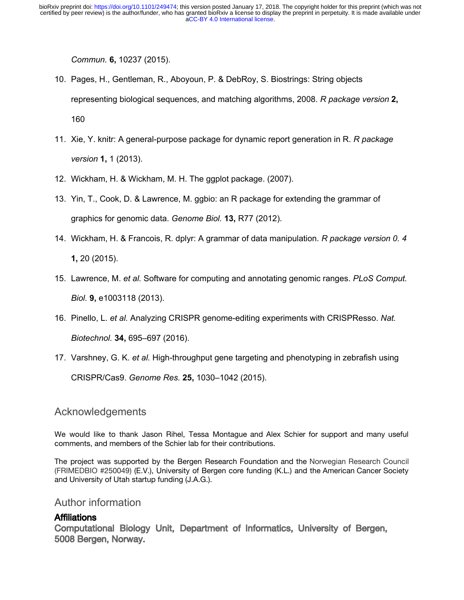*[Commun.](http://paperpile.com/b/2LBjx5/JSCj)* **[6,](http://paperpile.com/b/2LBjx5/JSCj)** [10237 \(2015\).](http://paperpile.com/b/2LBjx5/JSCj)

- 10. [Pages, H., Gentleman, R., Aboyoun, P. & DebRoy, S. Biostrings: String objects](http://paperpile.com/b/2LBjx5/c8Sy)  [representing biological sequences, and matching algorithms, 2008.](http://paperpile.com/b/2LBjx5/c8Sy) *[R package version](http://paperpile.com/b/2LBjx5/c8Sy)* **[2,](http://paperpile.com/b/2LBjx5/c8Sy)** [160](http://paperpile.com/b/2LBjx5/c8Sy)
- 11. [Xie, Y. knitr: A general-purpose package for dynamic report generation in R.](http://paperpile.com/b/2LBjx5/akl0) *[R package](http://paperpile.com/b/2LBjx5/akl0)  [version](http://paperpile.com/b/2LBjx5/akl0)* **[1,](http://paperpile.com/b/2LBjx5/akl0)** [1 \(2013\).](http://paperpile.com/b/2LBjx5/akl0)
- 12. [Wickham, H. & Wickham, M. H. The ggplot package. \(2007\).](http://paperpile.com/b/2LBjx5/cwWX)
- 13. [Yin, T., Cook, D. & Lawrence, M. ggbio: an R package for extending the grammar of](http://paperpile.com/b/2LBjx5/4xer)  [graphics for genomic data.](http://paperpile.com/b/2LBjx5/4xer) *[Genome Biol.](http://paperpile.com/b/2LBjx5/4xer)* **[13,](http://paperpile.com/b/2LBjx5/4xer)** [R77 \(2012\).](http://paperpile.com/b/2LBjx5/4xer)
- 14. [Wickham, H. & Francois, R. dplyr: A grammar of data manipulation.](http://paperpile.com/b/2LBjx5/xLIG) *[R package version 0. 4](http://paperpile.com/b/2LBjx5/xLIG)* **[1,](http://paperpile.com/b/2LBjx5/xLIG)** [20 \(2015\).](http://paperpile.com/b/2LBjx5/xLIG)
- 15. [Lawrence, M.](http://paperpile.com/b/2LBjx5/7Ju5) *[et al.](http://paperpile.com/b/2LBjx5/7Ju5)* [Software for computing and annotating genomic ranges.](http://paperpile.com/b/2LBjx5/7Ju5) *[PLoS Comput.](http://paperpile.com/b/2LBjx5/7Ju5)  [Biol.](http://paperpile.com/b/2LBjx5/7Ju5)* **[9,](http://paperpile.com/b/2LBjx5/7Ju5)** [e1003118 \(2013\).](http://paperpile.com/b/2LBjx5/7Ju5)
- 16. [Pinello, L.](http://paperpile.com/b/2LBjx5/7pkB) *[et al.](http://paperpile.com/b/2LBjx5/7pkB)* [Analyzing CRISPR genome-editing experiments with CRISPResso.](http://paperpile.com/b/2LBjx5/7pkB) *[Nat.](http://paperpile.com/b/2LBjx5/7pkB)  [Biotechnol.](http://paperpile.com/b/2LBjx5/7pkB)* **[34,](http://paperpile.com/b/2LBjx5/7pkB)** [695–697 \(2016\).](http://paperpile.com/b/2LBjx5/7pkB)
- 17. [Varshney, G. K.](http://paperpile.com/b/2LBjx5/GAH5) *[et al.](http://paperpile.com/b/2LBjx5/GAH5)* [High-throughput gene targeting and phenotyping in zebrafish using](http://paperpile.com/b/2LBjx5/GAH5)

[CRISPR/Cas9.](http://paperpile.com/b/2LBjx5/GAH5) *[Genome Res.](http://paperpile.com/b/2LBjx5/GAH5)* **[25,](http://paperpile.com/b/2LBjx5/GAH5)** [1030–1042 \(2015\).](http://paperpile.com/b/2LBjx5/GAH5)

# Acknowledgements

We would like to thank Jason Rihel, Tessa Montague and Alex Schier for support and many useful comments, and members of the Schier lab for their contributions.

The project was supported by the Bergen Research Foundation and the Norwegian Research Council (FRIMEDBIO #250049) (E.V.), University of Bergen core funding (K.L.) and the American Cancer Society and University of Utah startup funding (J.A.G.).

#### Author information

### **Affiliations**

Computational Biology Unit, Department of Informatics, University of Bergen, 5008 Bergen, Norway.